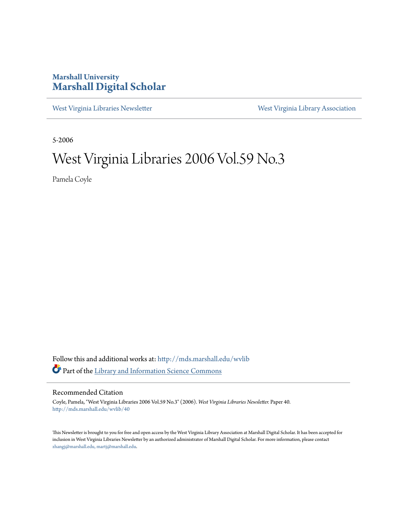### **Marshall University [Marshall Digital Scholar](http://mds.marshall.edu?utm_source=mds.marshall.edu%2Fwvlib%2F40&utm_medium=PDF&utm_campaign=PDFCoverPages)**

[West Virginia Libraries Newsletter](http://mds.marshall.edu/wvlib?utm_source=mds.marshall.edu%2Fwvlib%2F40&utm_medium=PDF&utm_campaign=PDFCoverPages) [West Virginia Library Association](http://mds.marshall.edu/wvla?utm_source=mds.marshall.edu%2Fwvlib%2F40&utm_medium=PDF&utm_campaign=PDFCoverPages)

5-2006

## West Virginia Libraries 2006 Vol.59 No.3

Pamela Coyle

Follow this and additional works at: [http://mds.marshall.edu/wvlib](http://mds.marshall.edu/wvlib?utm_source=mds.marshall.edu%2Fwvlib%2F40&utm_medium=PDF&utm_campaign=PDFCoverPages) Part of the [Library and Information Science Commons](http://network.bepress.com/hgg/discipline/1018?utm_source=mds.marshall.edu%2Fwvlib%2F40&utm_medium=PDF&utm_campaign=PDFCoverPages)

#### Recommended Citation

Coyle, Pamela, "West Virginia Libraries 2006 Vol.59 No.3" (2006). *West Virginia Libraries Newsletter.* Paper 40. [http://mds.marshall.edu/wvlib/40](http://mds.marshall.edu/wvlib/40?utm_source=mds.marshall.edu%2Fwvlib%2F40&utm_medium=PDF&utm_campaign=PDFCoverPages)

This Newsletter is brought to you for free and open access by the West Virginia Library Association at Marshall Digital Scholar. It has been accepted for inclusion in West Virginia Libraries Newsletter by an authorized administrator of Marshall Digital Scholar. For more information, please contact [zhangj@marshall.edu, martj@marshall.edu](mailto:zhangj@marshall.edu,%20martj@marshall.edu).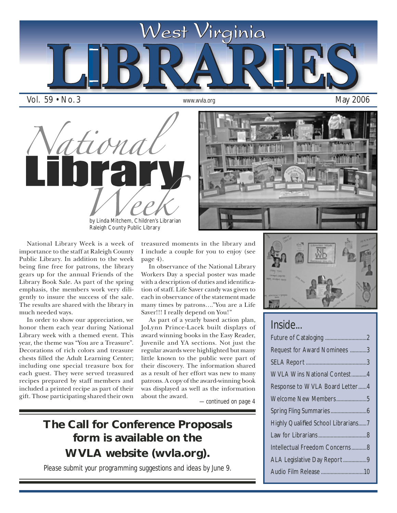

by Linda Mitchem, Children's Librarian Raleigh County Public Library



National Library Week is a week of importance to the staff at Raleigh County Public Library. In addition to the week being fine free for patrons, the library gears up for the annual Friends of the Library Book Sale. As part of the spring emphasis, the members work very diligently to insure the success of the sale. The results are shared with the library in much needed ways.

In order to show our appreciation, we honor them each year during National Library week with a themed event. This year, the theme was "You are a Treasure". Decorations of rich colors and treasure chests filled the Adult Learning Center; including one special treasure box for each guest. They were served treasured recipes prepared by staff members and included a printed recipe as part of their gift. Those participating shared their own treasured moments in the library and I include a couple for you to enjoy (see page 4).

In observance of the National Library Workers Day a special poster was made with a description of duties and identification of staff. Life Saver candy was given to each in observance of the statement made many times by patrons…."You are a Life Saver!!! I really depend on You!"

As part of a yearly based action plan, JoLynn Prince-Lacek built displays of award winning books in the Easy Reader, Juvenile and YA sections. Not just the regular awards were highlighted but many little known to the public were part of their discovery. The information shared as a result of her effort was new to many patrons. A copy of the award-winning book was displayed as well as the information about the award.

*—continued on page 4*

## **The Call for Conference Proposals form is available on the WVLA website (wvla.org).**

*Please submit your programming suggestions and ideas by June 9.*



### *Inside...*

| Request for Award Nominees 3        |
|-------------------------------------|
|                                     |
| <b>WVLA Wins National Contest4</b>  |
| Response to WVLA Board Letter4      |
| Welcome New Members5                |
|                                     |
| Highly Qualified School Librarians7 |
|                                     |
| Intellectual Freedom Concerns8      |
| ALA Legislative Day Report9         |
|                                     |
|                                     |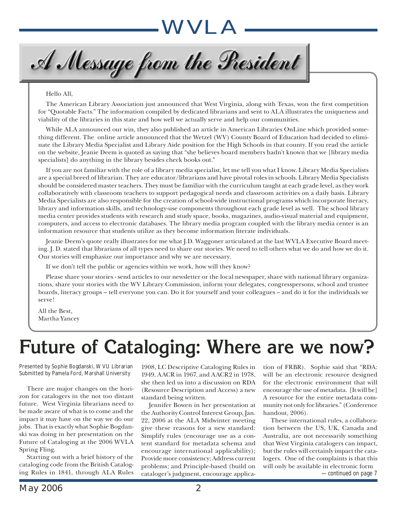A Message from the President

#### Hello All,

The American Library Association just announced that West Virginia, along with Texas, won the first competition for "Quotable Facts." The information compiled by dedicated librarians and sent to ALA illustrates the uniqueness and viability of the libraries in this state and how well we actually serve and help our communities.

While ALA announced our win, they also published an article in American Libraries OnLine which provided something different. The online article announced that the Wetzel (WV) County Board of Education had decided to eliminate the Library Media Specialist and Library Aide position for the High Schools in that county. If you read the article on the website, Jeanie Deem is quoted as saying that "she believes board members hadn't known that we [library media specialists] do anything in the library besides check books out."

If you are not familiar with the role of a library media specialist, let me tell you what I know. Library Media Specialists are a special breed of librarian. They are educator/librarians and have pivotal roles in schools. Library Media Specialists should be considered master teachers. They must be familiar with the curriculum taught at each grade level, as they work collaboratively with classroom teachers to support pedagogical needs and classroom activities on a daily basis. Library Media Specialists are also responsible for the creation of school-wide instructional programs which incorporate literacy, library and information skills, and technology-use components throughout each grade level as well. The school library media center provides students with research and study space, books, magazines, audio-visual material and equipment, computers, and access to electronic databases. The library media program coupled with the library media center is an information resource that students utilize as they become information literate individuals.

Jeanie Deem's quote really illustrates for me what J.D. Waggoner articulated at the last WVLA Executive Board meeting. J. D. stated that librarians of all types need to share our stories. We need to tell others what we do and how we do it. Our stories will emphasize our importance and why we are necessary.

If we don't tell the public or agencies within we work, how will they know?

Please share your stories - send articles to our newsletter or the local newspaper, share with national library organizations, share your stories with the WV Library Commission, inform your delegates, congresspersons, school and trustee boards, literacy groups – tell everyone you can. Do it for yourself and your colleagues – and do it for the individuals we serve!

All the Best, Martha Yancey

# **Future of Cataloging: Where are we now?**

Presented by Sophie Bogdanski, WVU Librarian Submitted by Pamela Ford, Marshall University

There are major changes on the horizon for catalogers in the not too distant future. West Virginia librarians need to be made aware of what is to come and the impact it may have on the way we do our jobs. That is exactly what Sophie Bogdanski was doing in her presentation on the Future of Cataloging at the 2006 WVLA Spring Fling.

Starting out with a brief history of the cataloging code from the British Cataloging Rules in 1841, through ALA Rules

1908, LC Descriptive Cataloging Rules in 1949, AACR in 1967, and AACR2 in 1978, she then led us into a discussion on RDA (Resource Description and Access) a new standard being written.

Jennifer Bowen in her presentation at the Authority Control Interest Group, Jan. 22, 2006 at the ALA Midwinter meeting give these reasons for a new standard: Simplify rules (encourage use as a content standard for metadata schema and encourage international applicability); Provide more consistency; Address current problems; and Principle-based (build on cataloger's judgment, encourage application of FRBR). Sophie said that "RDA: will be an electronic resource designed for the electronic environment that will encourage the use of metadata. [It will be] A resource for the entire metadata community not only for libraries." (Conference handout, 2006).

These international rules, a collaboration between the US, UK, Canada and Australia, are not necessarily something that West Virginia catalogers can impact, but the rules will certainly impact the catalogers. One of the complaints is that this will only be available in electronic form

*—continued on page 7*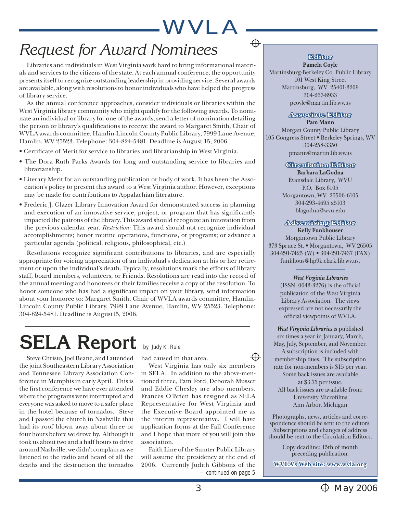## *Request for Award Nominees*

Libraries and individuals in West Virginia work hard to bring informational materials and services to the citizens of the state. At each annual conference, the opportunity presents itself to recognize outstanding leadership in providing service. Several awards are available, along with resolutions to honor individuals who have helped the progress of library service.

As the annual conference approaches, consider individuals or libraries within the West Virginia library community who might qualify for the following awards. To nominate an individual or library for one of the awards, send a letter of nomination detailing the person or library's qualifications to receive the award to Margaret Smith, Chair of WVLA awards committee, Hamlin-Lincoln County Public Library, 7999 Lane Avenue, Hamlin, WV 25523. Telephone: 304-824-5481. Deadline is August 15, 2006.

- Certificate of Merit for service to libraries and librarianship in West Virginia.
- The Dora Ruth Parks Awards for long and outstanding service to libraries and librarianship.
- Literary Merit for an outstanding publication or body of work. It has been the Association's policy to present this award to a West Virginia author. However, exceptions may be made for contributions to Appalachian literature.
- Frederic J. Glazer Library Innovation Award for demonstrated success in planning and execution of an innovative service, project, or program that has significantly impacted the patrons of the library. This award should recognize an innovation from the previous calendar year. *Restriction:* This award should not recognize individual accomplishments; honor routine operations, functions, or programs; or advance a particular agenda (political, religious, philosophical, etc.)

Resolutions recognize significant contributions to libraries, and are especially appropriate for voicing appreciation of an individual's dedication at his or her retirement or upon the individual's death. Typically, resolutions mark the efforts of library staff, board members, volunteers, or Friends. Resolutions are read into the record of the annual meeting and honorees or their families receive a copy of the resolution. To honor someone who has had a significant impact on your library, send information about your honoree to: Margaret Smith, Chair of WVLA awards committee, Hamlin-Lincoln County Public Library, 7999 Lane Avenue, Hamlin, WV 25523. Telephone: 304-824-5481. Deadline is August15, 2006.

# **SELA Report** by Judy K. Rule

Steve Christo, Joel Beane, and I attended the joint Southeastern Library Association and Tennessee Library Association Conference in Memphis in early April. This is the first conference we have ever attended where the programs were interrupted and everyone was asked to move to a safer place in the hotel because of tornados. Steve and I passed the church in Nashville that had its roof blown away about three or four hours before we drove by. Although it took us about two and a half hours to drive around Nashville, we didn't complain as we listened to the radio and heard of all the deaths and the destruction the tornados

had caused in that area.

West Virginia has only six members in SELA. In addition to the above-mentioned three, Pam Ford, Deborah Musser and Eddie Chesley are also members. Frances O'Brien has resigned as SELA Representative for West Virginia and the Executive Board appointed me as the interim representative. I will have application forms at the Fall Conference and I hope that more of you will join this association.

Faith Line of the Sumter Public Library will assume the presidency at the end of 2006. Currently Judith Gibbons of the *—continued on page 5*

### **Editor**

⊕

⊕

**Pamela Coyle** Martinsburg-Berkeley Co. Public Library 101 West King Street Martinsburg, WV 25401-3209 304-267-8933 pcoyle@martin.lib.wv.us

### **Associate Editor ssociate**

**Pam Mann** Morgan County Public Library 105 Congress Street • Berkeley Springs, WV 304-258-3350 pmann@martin.lib.wv.us

### **Circulation Editor irculation**

**Barbara LaGodna** Evansdale Library, WVU P.O. Box 6105 Morgantown, WV 26506-6105 304-293-4695 x5103 blagodna@wvu.edu

#### **Advertising Editor dvertising Kelly Funkhouser**

Morgantown Public Library 373 Spruce St. • Morgantown, WV 26505 304-291-7425 (W) • 304-291-7437 (FAX) funkhous@hp9k.clark.lib.wv.us.

> *West Virginia Libraries*  $(ISSN: 0043-3276)$  is the official publication of the West Virginia Library Association. The views expressed are not necessarily the official viewpoints of WVLA.

*West Virginia Libraries* is published six times a year in January, March, May, July, September, and November. A subscription is included with membership dues. The subscription rate for non-members is \$15 per year. Some back issues are available at \$3.75 per issue. All back issues are available from: University Microfilms Ann Arbor, Michigan

Photographs, news, articles and correspondence should be sent to the editors. Subscriptions and changes of address should be sent to the Circulation Editors.

> Copy deadline: 15th of month preceding publication.

**WVLA's Web site: www.wvla.org**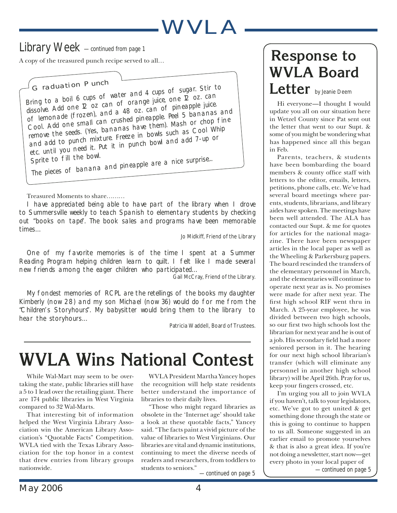## *Library Week —continued from page 1*

A copy of the treasured punch recipe served to all…

Bring to a boil 6 cups of water and 4 cups of sugar. Stir to dissolve. Add one 12 oz can of orange juice, one 12 oz. can of lemonade (frozen), and a 48 oz. can of pineapple juice. Cool. Add one small can crushed pineapple. Peel 5 bananas an<sup>d</sup> remove the seeds. (Yes, bananas have them). Mash or chop fine and add to punch mixture. Freeze in bowls such as Cool Whip etc. until you need it. Put it in punch bowl and add 7-up or<br>Sprite to fill the bowl. *Graduation Punch*

Sprite to fill the bowl.<br>The pieces of banana and pineapple are a nice surprise...

### Treasured Moments to share………

I have appreciated being able to have part of the library when I drove to Summersville weekly to teach Spanish to elementary students by checking out "books on tape". The book sales and programs have been memorable times…

Jo Midkiff, Friend of the Library

One of my favorite memories is of the time I spent at a Summer Reading Program helping children learn to quilt. I felt like I made several new friends among the eager children who participated…

Gail McCray, Friend of the Library.

My fondest memories of RCPL are the retellings of the books my daughter Kimberly (now 28) and my son Michael (now 36) would do for me from the "Children's Storyhours". My babysitter would bring them to the library to hear the storyhours…

Patricia Waddell, Board of Trustees.

# **WVLA Wins National Contest**

While Wal-Mart may seem to be overtaking the state, public libraries still have a 5 to 1 lead over the retailing giant. There are 174 public libraries in West Virginia compared to 32 Wal-Marts.

That interesting bit of information helped the West Virginia Library Association win the American Library Association's "Quotable Facts" Competition. WVLA tied with the Texas Library Association for the top honor in a contest that drew entries from library groups nationwide.

WVLA President Martha Yancey hopes the recognition will help state residents better understand the importance of libraries to their daily lives.

"Those who might regard libraries as obsolete in the 'Internet age' should take a look at these quotable facts," Yancey said. "The facts paint a vivid picture of the value of libraries to West Virginians. Our libraries are vital and dynamic institutions, continuing to meet the diverse needs of readers and researchers, from toddlers to students to seniors."

*—continued on page 5*

# **Response to WVLA Board**

## **Letter** by Jeanie Deem

Hi everyone—I thought I would update you all on our situation here in Wetzel County since Pat sent out the letter that went to our Supt. & some of you might be wondering what has happened since all this began in Feb.

Parents, teachers, & students have been bombarding the board members & county office staff with letters to the editor, emails, letters, petitions, phone calls, etc. We've had several board meetings where parents, students, librarians, and library aides have spoken. The meetings have been well attended. The ALA has contacted our Supt. & me for quotes for articles for the national magazine. There have been newspaper articles in the local paper as well as the Wheeling & Parkersburg papers. The board rescinded the transfers of the elementary personnel in March, and the elementaries will continue to operate next year as is. No promises were made for after next year. The first high school RIF went thru in March. A 25-year employee, he was divided between two high schools, so our first two high schools lost the librarian for next year and he is out of a job. His secondary field had a more seniored person in it. The hearing for our next high school librarian's transfer (which will eliminate any personnel in another high school library) will be April 26th. Pray for us, keep your fingers crossed, etc.

I'm urging you all to join WVLA if you haven't, talk to your legislators, etc. We've got to get united & get something done through the state or this is going to continue to happen to us all. Someone suggested in an earlier email to promote yourselves & that is also a great idea. If you're not doing a newsletter, start now—get every photo in your local paper of

*—continued on page 5*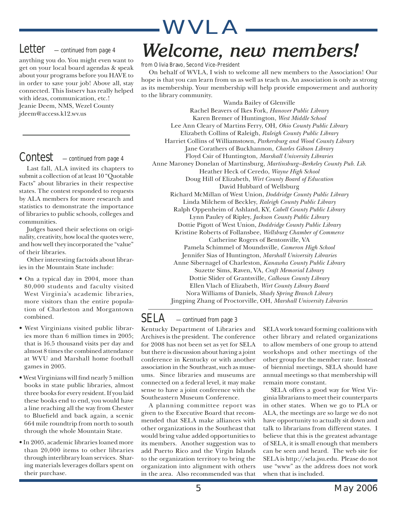## *Letter —continued from page 4*

anything you do. You might even want to get on your local board agendas & speak about your programs before you HAVE to in order to save your job! Above all, stay connected. This listserv has really helped with ideas, communication, etc.! Jeanie Deem, NMS, Wezel County jdeem@access.k12.wv.us

## *Contest —continued from page 4*

Last fall, ALA invited its chapters to submit a collection of at least 10 "Quotable Facts" about libraries in their respective states. The contest responded to requests by ALA members for more research and statistics to demonstrate the importance of libraries to public schools, colleges and communities.

Judges based their selections on originality, creativity, how local the quotes were, and how well they incorporated the "value" of their libraries.

Other interesting factoids about libraries in the Mountain State include:

- On a typical day in 2004, more than 80,000 students and faculty visited West Virginia's academic libraries, more visitors than the entire population of Charleston and Morgantown combined.
- West Virginians visited public libraries more than 6 million times in 2005; that is 16.5 thousand visits per day and almost 8 times the combined attendance at WVU and Marshall home football games in 2005.
- West Virginians will find nearly 5 million books in state public libraries, almost three books for every resident. If you laid these books end to end, you would have a line reaching all the way from Chester to Bluefield and back again, a scenic 664 mile roundtrip from north to south through the whole Mountain State.
- than 20,000 items to other libraries add Puerto Rico: through interlibrary loan services. Shar- to the organization **Library Division.** ing materials leverages dollars spent on • In 2005, academic libraries loaned more their purchase.

# *Welcome, new members!*

#### from Olivia Bravo, Second Vice-President

On behalf of WVLA, I wish to welcome all new members to the Association! Our hope is that you can learn from us as well as teach us. An association is only as strong as its membership. Your membership will help provide empowerment and authority to the library community.

Wanda Bailey of Glenville Rachel Beavers of Ikes Fork, *Hanover Public Library* Karen Bremer of Huntington, *West Middle School* Lee Ann Cleary of Martins Ferry, OH, *Ohio County Public Library* Elizabeth Collins of Raleigh, *Raleigh County Public Library* Harriet Collins of Williamstown, *Parkersburg and Wood County Library* Jane Corathers of Buckhannon, *Charles Gibson Library* Floyd Csir of Huntington, *Marshall University Libraries* Anne Maroney Donelan of Martinsburg, *Martinsburg–Berkeley County Pub. Lib.* Heather Heck of Ceredo, *Wayne High School* Doug Hill of Elizabeth, *Wirt County Board of Education* David Hubbard of Wellsburg Richard McMillan of West Union, *Doddridge County Public Library* Linda Milchem of Beckley, *Raleigh County Public Library* Ralph Oppenheim of Ashland, KY, *Cabell County Public Library* Lynn Pauley of Ripley, *Jackson County Public Library* Dottie Pigott of West Union, *Doddridge County Public Library* Kristine Roberts of Follansbee, *Wellsburg Chamber of Commerce* Catherine Rogers of Bentonville, VA Pamela Schimmel of Moundsville, *Cameron High School* Jennifer Sias of Huntington, *Marshall University Libraries* Anne Sibernagel of Charleston, *Kanawha County Public Library* Suzette Sims, Raven, VA, *Craft Memorial Library* Dottie Slider of Grantsville, *Calhoun County Library* Ellen Vlach of Elizabeth, *Wirt County Library Board* Nora Williams of Daniels, *Shady Spring Branch Library* Jingping Zhang of Proctorville, OH, *Marshall University Libraries*

### *SELA —continued from page 3*

Kentucky Department of Libraries and Archives is the president. The conference for 2008 has not been set as yet for SELA but there is discussion about having a joint conference in Kentucky or with another association in the Southeast, such as museums. Since libraries and museums are connected on a federal level, it may make sense to have a joint conference with the Southeastern Museum Conference.

A planning committee report was given to the Executive Board that recommended that SELA make alliances with other organizations in the Southeast that would bring value added opportunities to its members. Another suggestion was to add Puerto Rico and the Virgin Islands to the organization territory to bring the organization into alignment with others in the area. Also recommended was that

SELA work toward forming coalitions with other library and related organizations to allow members of one group to attend workshops and other meetings of the other group for the member rate. Instead of biennial meetings, SELA should have annual meetings so that membership will remain more constant.

SELA offers a good way for West Virginia librarians to meet their counterparts in other states. When we go to PLA or ALA, the meetings are so large we do not have opportunity to actually sit down and talk to librarians from different states. I believe that this is the greatest advantage of SELA, it is small enough that members can be seen and heard. The web site for SELA is http://sela.jsu.edu. Please do not use "www" as the address does not work when that is included.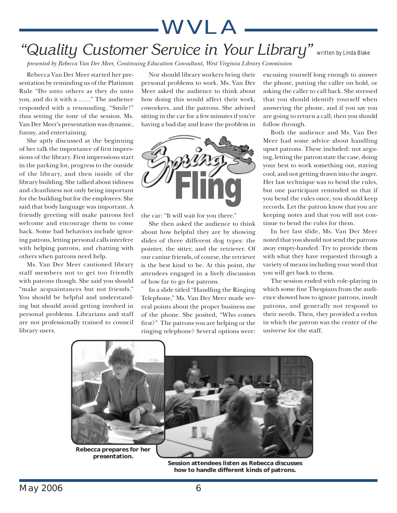## *"Quality Customer Service in Your Library"* written by Linda Blake

*presented by Rebecca Van Der Meer, Continuing Education Consultant, West Virginia Library Commission*

Rebecca Van Der Meer started her presentation by reminding us of the Platinum Rule "Do unto others as they do unto you, and do it with a ……" The audience responded with a resounding, "Smile!" thus setting the tone of the session. Ms. Van Der Meer's presentation was dynamic, funny, and entertaining.

She aptly discussed at the beginning of her talk the importance of first impressions of the library. First impressions start in the parking lot, progress to the outside of the library, and then inside of the library building. She talked about tidiness and cleanliness not only being important for the building but for the employees. She said that body language was important. A friendly greeting will make patrons feel welcome and encourage them to come back. Some bad behaviors include ignoring patrons, letting personal calls interfere with helping patrons, and chatting with others when patrons need help.

Ms. Van Der Meer cautioned library staff members not to get too friendly with patrons though. She said you should "make acquaintances but not friends." You should be helpful and understanding but should avoid getting involved in personal problems. Librarians and staff are not professionally trained to council library users.

Nor should library workers bring their personal problems to work. Ms. Van Der Meer asked the audience to think about how doing this would affect their work, coworkers, and the patrons. She advised sitting in the car for a few minutes if you're having a bad day and leave the problem in

WVLA



the car: "It will wait for you there."

She then asked the audience to think about how helpful they are by showing slides of three different dog types: the pointer, the sitter, and the retriever. Of our canine friends, of course, the retriever is the best kind to be. At this point, the attendees engaged in a lively discussion of how far to go for patrons.

In a slide titled "Handling the Ringing Telephone," Ms. Van Der Meer made several points about the proper business use of the phone. She posited, "Who comes first?" The patrons you are helping or the ringing telephone? Several options were:

excusing yourself long enough to answer the phone, putting the caller on hold, or asking the caller to call back. She stressed that you should identify yourself when answering the phone, and if you say you are going to return a call, then you should follow through.

Both the audience and Ms. Van Der Meer had some advice about handling upset patrons. These included: not arguing, letting the patron state the case, doing your best to work something out, staying cool, and not getting drawn into the anger. Her last technique was to bend the rules, but one participant reminded us that if you bend the rules once, you should keep records. Let the patron know that you are keeping notes and that you will not continue to bend the rules for them.

In her last slide, Ms. Van Der Meer noted that you should not send the patrons away empty-handed. Try to provide them with what they have requested through a variety of means including your word that you will get back to them.

The session ended with role-playing in which some fine Thespians from the audience showed how to ignore patrons, insult patrons, and generally not respond to their needs. Then, they provided a redux in which the patron was the center of the universe for the staff.



**Session attendees listen as Rebecca discusses how to handle different kinds of patrons.**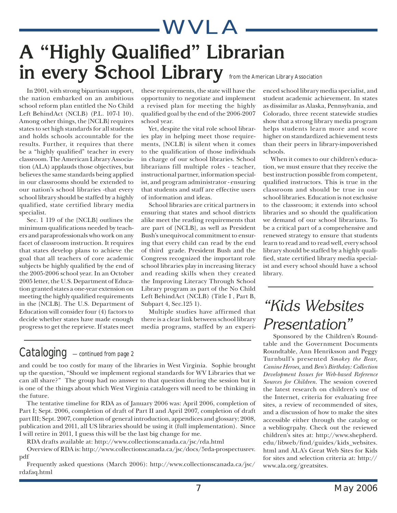

In 2001, with strong bipartisan support, the nation embarked on an ambitious school reform plan entitled the No Child Left BehindAct (NCLB) (P.L. 107-1 10). Among other things, the {NCLB} requires states to set high standards for all students and holds schools accountable for the results. Further, it requires that there be a "highly qualified" teacher in every classroom. The American Library Association (ALA) applauds those objectives, but believes the same standards being applied in our classrooms should be extended to our nation's school libraries -that every school library should be staffed by a highly qualified, state certified library media specialist.

Sec. 1 119 of the {NCLB} outlines the minimum qualifications needed by teachers and paraprofessionals who work on any facet of classroom instruction. It requires that states develop plans to achieve the goal that all teachers of core academic subjects be highly qualified by the end of the 2005-2006 school year. In an October 2005 letter, the U.S. Department of Education granted states a one-year extension on meeting the highly qualified requirements in the {NCLB}. The U.S. Department of Education will consider four (4) factors to decide whether states have made enough progress to get the reprieve. If states meet

these requirements, the state will have the opportunity to negotiate and implement a revised plan for meeting the highly qualified goal by the end of the 2006-2007 school year.

Yet, despite the vital role school libraries play in helping meet those requirements, {NCLB} is silent when it comes to the qualification of those individuals in charge of our school libraries. School librarians fill multiple roles - teacher, instructional partner, information specialist, and program administrator - ensuring that students and staff are effective users of information and ideas.

School libraries are critical partners in ensuring that states and school districts alike meet the reading requirements that are part of {NCLB}, as well as President Bush's unequivocal commitment to ensuring that every child can read by the end of third grade. President Bush and the Congress recognized the important role school libraries play in increasing literacy and reading skills when they created the Improving Literacy Through School Library program as part of the No Child Left BehindAct (NCLB) (Title I , Part B, Subpart 4, Sec.125 1).

Multiple studies have affirmed that there is a clear link between school library media programs, staffed by an experi-

### *Cataloging —continued from page 2*

and could be too costly for many of the libraries in West Virginia. Sophie brought up the question, "Should we implement regional standards for WV Libraries that we can all share?" The group had no answer to that question during the session but it is one of the things about which West Virginia catalogers will need to be thinking in the future.

The tentative timeline for RDA as of January 2006 was: April 2006, completion of Part I; Sept. 2006, completion of draft of Part II and April 2007, completion of draft part III; Sept. 2007, completion of general introduction, appendices and glossary; 2008, publication and 2011, all US libraries should be using it (full implementation). Since I will retire in 2011, I guess this will be the last big change for me.

RDA drafts available at: http://www.collectionscanada.ca/jsc/rda.html

Overview of RDA is: http://www.collectionscanada.ca/jsc/docs/5rda-prospectusrev. pdf

Frequently asked questions (March 2006): http://www.collectionscanada.ca/jsc/ rdafaq.html

enced school library media specialist, and student academic achievement. In states as dissimilar as Alaska, Pennsylvania, and Colorado, three recent statewide studies show that a strong library media program helps students learn more and score higher on standardized achievement tests than their peers in library-impoverished schools.

When it comes to our children's education, we must ensure that they receive the best instruction possible from competent, qualified instructors. This is true in the classroom and should be true in our school libraries. Education is not exclusive to the classroom; it extends into school libraries and so should the qualification we demand of our school librarians. To be a critical part of a comprehensive and renewed strategy to ensure that students learn to read and to read well, every school library should be staffed by a highly qualified, state certified library media specialist and every school should have a school library.

## *"Kids Websites Presentation"*

 Sponsored by the Children's Roundtable and the Government Documents Roundtable, Ann Henriksson and Peggy Turnbull's presented *Smokey the Bear, Canine Heroes,* and *Ben's Birthday: Collection Development Issues for Web-based Reference Sources for Children.* The session covered the latest research on children's use of the Internet, criteria for evaluating free sites, a review of recommended of sites, and a discussion of how to make the sites accessible either through the catalog or a webliogrpahy. Check out the reviewed children's sites at: http://www.shepherd. edu/libweb/find/guides/kids\_websites. html and ALA's Great Web Sites for Kids for sites and selection criteria at: http:// www.ala.org/greatsites.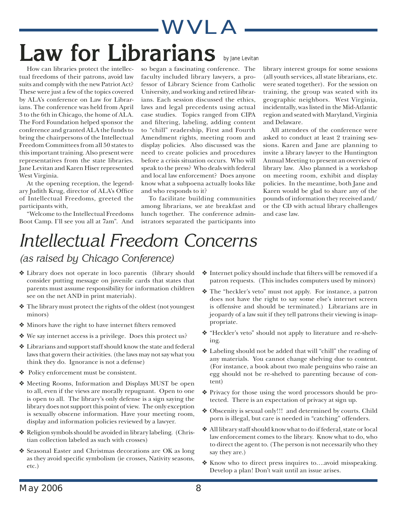# WVLA Law for Librarians **by Jane Levitan**

How can libraries protect the intellectual freedoms of their patrons, avoid law suits and comply with the new Patriot Act? These were just a few of the topics covered by ALA's conference on Law for Librarians. The conference was held from April 3 to the 6th in Chicago, the home of ALA. The Ford Foundation helped sponsor the conference and granted ALA the funds to bring the chairpersons of the Intellectual Freedom Committees from all 50 states to this important training. Also present were representatives from the state libraries. Jane Levitan and Karen Hiser represented West Virginia.

At the opening reception, the legendary Judith Krug, director of ALA's Office of Intellectual Freedoms, greeted the participants with,

"Welcome to the Intellectual Freedoms Boot Camp. I'll see you all at 7am". And so began a fascinating conference. The faculty included library lawyers, a professor of Library Science from Catholic University, and working and retired librarians. Each session discussed the ethics, laws and legal precedents using actual case studies. Topics ranged from CIPA and filtering, labeling, adding content to "chill" readership, First and Fourth Amendment rights, meeting room and display policies. Also discussed was the need to create policies and procedures before a crisis situation occurs. Who will speak to the press? Who deals with federal and local law enforcement? Does anyone know what a subpoena actually looks like and who responds to it?

To facilitate building communities among librarians, we ate breakfast and lunch together. The conference administrators separated the participants into

library interest groups for some sessions (all youth services, all state librarians, etc. were seated together). For the session on training, the group was seated with its geographic neighbors. West Virginia, incidentally, was listed in the Mid-Atlantic region and seated with Maryland, Virginia and Delaware.

All attendees of the conference were asked to conduct at least 2 training sessions. Karen and Jane are planning to invite a library lawyer to the Huntington Annual Meeting to present an overview of library law. Also planned is a workshop on meeting room, exhibit and display policies. In the meantime, both Jane and Karen would be glad to share any of the pounds of information they received and/ or the CD with actual library challenges and case law.

# *Intellectual Freedom Concerns*

*(as raised by Chicago Conference)*

- ❖ Library does not operate in loco parentis (library should consider putting message on juvenile cards that states that parents must assume responsibility for information children see on the net AND in print materials).
- ❖ The library must protect the rights of the oldest (not youngest minors)
- ◆ Minors have the right to have internet filters removed
- ❖ We say internet access is a privilege. Does this protect us?
- ❖ Librarians and support staff should know the state and federal laws that govern their activities. (the laws may not say what you think they do. Ignorance is not a defense)
- ❖ Policy enforcement must be consistent.
- ❖ Meeting Rooms, Information and Displays MUST be open to all, even if the views are morally repugnant. Open to one is open to all. The library's only defense is a sign saying the library does not support this point of view. The only exception is sexually obscene information. Have your meeting room, display and information policies reviewed by a lawyer.
- ❖ Religion symbols should be avoided in library labeling. (Christian collection labeled as such with crosses)
- ❖ Seasonal Easter and Christmas decorations are OK as long as they avoid specific symbolism (ie crosses, Nativity seasons, etc.)
- $\triangleleft$  Internet policy should include that filters will be removed if a patron requests. (This includes computers used by minors)
- ❖ The "heckler's veto" must not apply. For instance, a patron does not have the right to say some else's internet screen is offensive and should be terminated.) Librarians are in jeopardy of a law suit if they tell patrons their viewing is inappropriate.
- ❖ "Heckler's veto" should not apply to literature and re-shelving.
- ❖ Labeling should not be added that will "chill" the reading of any materials. You cannot change shelving due to content. (For instance, a book about two male penguins who raise an egg should not be re-shelved to parenting because of content)
- ❖ Privacy for those using the word processors should be protected. There is an expectation of privacy at sign up.
- ❖ Obscenity is sexual only!!! and determined by courts. Child porn is illegal, but care is needed in "catching" offenders.
- ❖ All library staff should know what to do if federal, state or local law enforcement comes to the library. Know what to do, who to direct the agent to. (The person is not necessarily who they say they are.)
- ❖ Know who to direct press inquires to….avoid misspeaking. Develop a plan! Don't wait until an issue arises.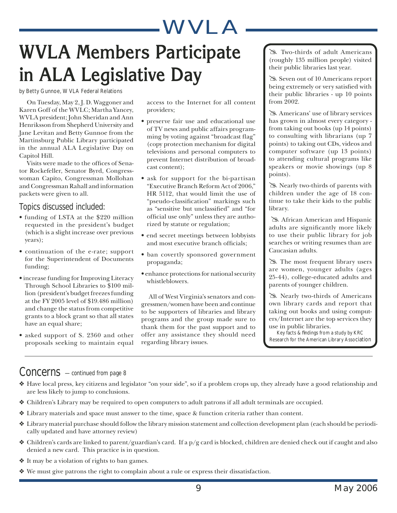# **WVLA Members Participate in ALA Legislative Day**

by Betty Gunnoe, WVLA Federal Relations

On Tuesday, May 2, J. D. Waggoner and Karen Goff of the WVLC; Martha Yancey, WVLA president; John Sheridan and Ann Henriksson from Shepherd University and Jane Levitan and Betty Gunnoe from the Martinsburg Public Library participated in the annual ALA Legislative Day on Capitol Hill.

Visits were made to the offices of Senator Rockefeller, Senator Byrd, Congresswoman Capito, Congressman Mollohan and Congressman Rahall and information packets were given to all.

### *Topics discussed included:*

- funding of LSTA at the \$220 million requested in the president's budget (which is a slight increase over previous years);
- continuation of the e-rate; support for the Superintendent of Documents funding;
- increase funding for Improving Literacy Through School Libraries to \$100 million (president's budget freezes funding at the FY 2005 level of \$19.486 million) and change the status from competitive grants to a block grant so that all states have an equal share;
- asked support of S. 2360 and other proposals seeking to maintain equal

access to the Internet for all content providers;

- preserve fair use and educational use of TV news and public affairs programming by voting against "broadcast flag" (copy protection mechanism for digital televisions and personal computers to prevent Internet distribution of broadcast content);
- ask for support for the bi-partisan "Executive Branch Reform Act of 2006," HR 5112, that would limit the use of "pseudo-classification" markings such as "sensitive but unclassified" and "for official use only" unless they are authorized by statute or regulation;
- end secret meetings between lobbyists and most executive branch officials;
- ban covertly sponsored government propaganda;
- enhance protections for national security whistleblowers.

All of West Virginia's senators and congressmen/women have been and continue to be supporters of libraries and library programs and the group made sure to thank them for the past support and to offer any assistance they should need regarding library issues.

@ Two-thirds of adult Americans (roughly 135 million people) visited their public libraries last year.

Seven out of 10 Americans report being extremely or very satisfied with their public libraries - up 10 points from 2002.

@ Americans' use of library services has grown in almost every category from taking out books (up 14 points) to consulting with librarians (up 7 points) to taking out CDs, videos and computer software (up 13 points) to attending cultural programs like speakers or movie showings (up 8 points).

@ Nearly two-thirds of parents with children under the age of 18 continue to take their kids to the public library.

@ African American and Hispanic adults are significantly more likely to use their public library for job searches or writing resumes than are Caucasian adults.

@ The most frequent library users are women, younger adults (ages 25-44), college-educated adults and parents of younger children.

 @ Nearly two-thirds of Americans own library cards and report that taking out books and using computers/Internet are the top services they use in public libraries.

Key facts & findings from a study by KRC Research for the American Library Association

### *Concerns —continued from page 8*

- ❖ Have local press, key citizens and legislator "on your side", so if a problem crops up, they already have a good relationship and are less likely to jump to conclusions.
- ❖ Children's Library may be required to open computers to adult patrons if all adult terminals are occupied.
- ❖ Library materials and space must answer to the time, space & function criteria rather than content.
- ❖ Library material purchase should follow the library mission statement and collection development plan (each should be periodically updated and have attorney review)
- $\triangle$  Children's cards are linked to parent/guardian's card. If a  $p/q$  card is blocked, children are denied check out if caught and also denied a new card. This practice is in question.
- ❖ It may be a violation of rights to ban games.
- ❖ We must give patrons the right to complain about a rule or express their dissatisfaction.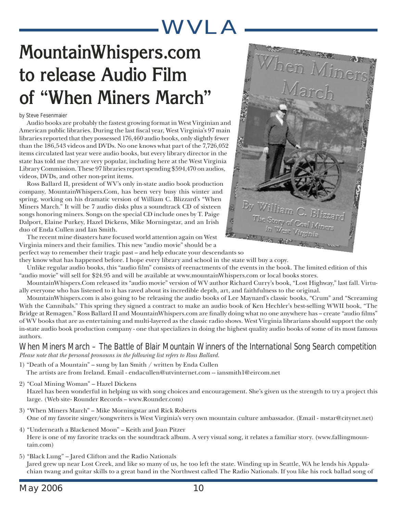# **MountainWhispers.com to release Audio Film of "When Miners March"**

#### by Steve Fesenmaier

Audio books are probably the fastest growing format in West Virginian and American public libraries. During the last fiscal year, West Virginia's 97 main libraries reported that they possessed 176,460 audio books, only slightly fewer than the 186,543 videos and DVDs. No one knows what part of the 7,726,052 items circulated last year were audio books, but every library director in the state has told me they are very popular, including here at the West Virginia Library Commission. These 97 libraries report spending \$594,470 on audios, videos, DVDs, and other non-print items.

Ross Ballard II, president of WV's only in-state audio book production company, MountainWhispers.Com, has been very busy this winter and spring, working on his dramatic version of William C. Blizzard's "When Miners March." It will be 7 audio disks plus a soundtrack CD of sixteen songs honoring miners. Songs on the special CD include ones by T. Paige Dalport, Elaine Purkey, Hazel Dickens, Mike Morningstar, and an Irish duo of Enda Cullen and Ian Smith.



The recent mine disasters have focused world attention again on West Virginia miners and their families. This new "audio movie" should be a

perfect way to remember their tragic past – and help educate your descendants so they know what has happened before. I hope every library and school in the state will buy a copy.

Unlike regular audio books, this "audio film" consists of reenactments of the events in the book. The limited edition of this "audio movie" will sell for \$24.95 and will be available at www.mountainWhispers.com or local books stores.

MountainWhispers.Com released its "audio movie" version of WV author Richard Curry's book, "Lost Highway," last fall. Virtually everyone who has listened to it has raved about its incredible depth, art, and faithfulness to the original.

MountainWhispers.com is also going to be releasing the audio books of Lee Maynard's classic books, "Crum" and "Screaming With the Cannibals." This spring they signed a contract to make an audio book of Ken Hechler's best-selling WWII book, "The Bridge at Remagen." Ross Ballard II and MountainWhispers.com are finally doing what no one anywhere has – create "audio films" of WV books that are as entertaining and multi-layered as the classic radio shows. West Virginia librarians should support the only in-state audio book production company - one that specializes in doing the highest quality audio books of some of its most famous authors.

### *When Miners March – The Battle of Blair Mountain Winners of the International Song Search competition Please note that the personal pronouns in the following list refers to Ross Ballard.*

- 1) "Death of a Mountain" sung by Ian Smith / written by Enda Cullen The artists are from Ireland. Email - endacullen@utvinternet.com -- iansmith1@eircom.net
- 2) "Coal Mining Woman" Hazel Dickens

Hazel has been wonderful in helping us with song choices and encouragement. She's given us the strength to try a project this large. (Web site- Rounder Records – www.Rounder.com)

- 3) "When Miners March" Mike Morningstar and Rick Roberts One of my favorite singer/songwriters is West Virginia's very own mountain culture ambassador. (Email - mstar@citynet.net)
- 4) "Underneath a Blackened Moon" Keith and Joan Pitzer Here is one of my favorite tracks on the soundtrack album. A very visual song, it relates a familiar story. (www.fallingmountain.com)

5) "Black Lung" – Jared Clifton and the Radio Nationals Jared grew up near Lost Creek, and like so many of us, he too left the state. Winding up in Seattle, WA he lends his Appalachian twang and guitar skills to a great band in the Northwest called The Radio Nationals. If you like his rock ballad song of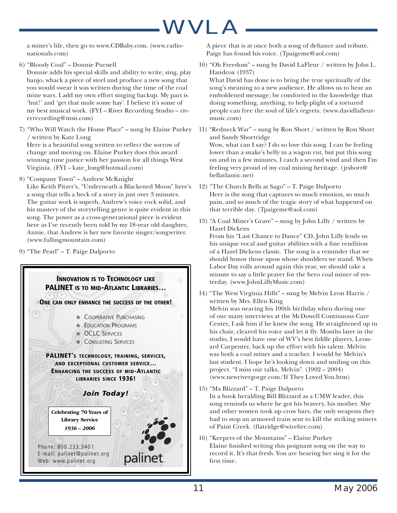music.com)

a miner's life, then go to www.CDBaby.com. (www.radionationals.com)

- 6) "Bloody Coal" Donnie Purnell Donnie adds his special skills and ability to write, sing, play banjo, whack a piece of steel and produce a new song that you would swear it was written during the time of the coal mine wars. I add my own effort singing backup. My part is 'hut!' and 'get that mule some hay'. I believe it's some of my best musical work. (FYI – River Recording Studio – riverrecording@msn.com)
- 7) "Who Will Watch the Home Place" sung by Elaine Purkey / written by Kate Long Here is a beautiful song written to reflect the sorrow of change and moving on. Elaine Purkey does this award winning tune justice with her passion for all things West Virginia. (FYI – kate\_long@hotmail.com)
- 8) "Company Town" Andrew McKnight

Like Keith Pitzer's, "Underneath a Blackened Moon" here's a song that tells a heck of a story in just over 3 minutes. The guitar work is superb, Andrew's voice rock solid, and his mastery of the storytelling genre is quite evident in this song. The power as a cross-generational piece is evident here as I've recently been told by my 18-year old daughter, Annie, that Andrew is her new favorite singer/songwriter. (www.fallingmountain.com)

9) "The Pearl" – T. Paige Dalporto

### **INNOVATION IS TO TECHNOLOGY LIKE PALINET IS TO MID-ATLANTIC LIBRARIES… ONE CAN ONLY ENHANCE THE SUCCESS OF THE OTHER! \* COOPERATIVE PURCHASING** ✫ EDUCATION PROGRAMS ✫ OCLC SERVICES **\* CONSULTING SERVICES PALINET'S TECHNOLOGY, TRAINING, SERVICES, AND EXCEPTIONAL CUSTOMER SERVICE… ENHANCING THE SUCCESS OF MID-ATLANTIC LIBRARIES SINCE 1936!** *Join Today!* Phone: 800.233.3401<br>E-mail: palinet@palinet.org  $W_{\text{ph}}$ : www.palinet.org  $W = W \cup W$ Celebrating 70 Years of  $1936 - 2006$

A piece that is at once both a song of defiance and tribute, Paige has found his voice. (Tpaigeme@aol.com)

- 10) "Oh Freedom" sung by David LaFleur / written by John L. Handcox (1937) What David has done is to bring the true spiritually of the song's meaning to a new audience. He allows us to hear an emboldened message; be comforted in the knowledge that doing something, anything, to help plight of a tortured people can free the soul of life's regrets. (www.davidlafleur-
- 11) "Redneck War" sung by Ron Short / written by Ron Short and Sandy Shortridge Wow, what can I say? I do so love this song. I can be feeling lower than a snake's belly in a wagon rut, but put this song on and in a few minutes, I catch a second wind and then I'm feeling very proud of my coal mining heritage. (jrshort@ bellatlantic.net)
- 12) "The Church Bells at Sago" T. Paige Dalporto Here is the song that captures so much emotion, so much pain, and so much of the tragic story of what happened on that terrible day. (Tpaigeme@aol.com)
- 13) "A Coal Miner's Grave" sung by John Lilly / written by Hazel Dickens From his "Last Chance to Dance" CD, John Lilly lends us his unique vocal and guitar abilities with a fine rendition of a Hazel Dickens classic. The song is a reminder that we should honor those upon whose shoulders we stand. When Labor Day rolls around again this year, we should take a minute to say a little prayer for the hero coal miner of yesterday. (www.JohnLillyMusic.com)
- 14) "The West Virginia Hills" sung by Melvin Leon Harris / written by Mrs. Ellen King

Melvin was nearing his 100th birthday when during one of our many interviews at the McDowell Continuous Care Center, I ask him if he knew the song. He straightened up in his chair, cleared his voice and let it fly. Months later in the studio, I would have one of WV's best fiddle players, Leonard Carpenter, back up the effort with his talent. Melvin was both a coal miner and a teacher. I would be Melvin's last student. I hope he's looking down and smiling on this project. "I miss our talks, Melvin". (1902 – 2004) (www.newrivergorge.com/If They Loved You.htm)

- 15) "Ma Blizzard" T. Paige Dalporto In a book heralding Bill Blizzard as a UMW leader, this song reminds us where he got his bravery, his mother. She and other women took up crow bars, the only weapons they had to stop an armored train sent to kill the striking miners of Paint Creek. (flatridge@wirefire.com)
- 16) "Keepers of the Mountains" Elaine Purkey Elaine finished writing this poignant song on the way to record it. It's that fresh. You are hearing her sing it for the first time.